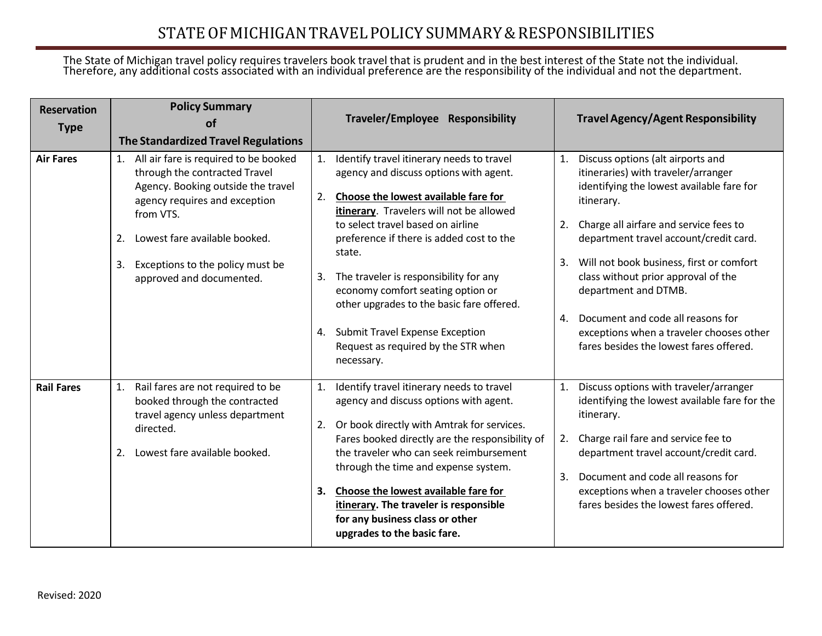## STATEOF MICHIGANTRAVELPOLICYSUMMARY&RESPONSIBILITIES

## The State of Michigan travel policy requires travelers book travel that is prudent and in the best interest of the State not the individual. Therefore, any additional costs associated with an individual preference are the responsibility of the individual and not the department.

| <b>Reservation</b><br><b>Type</b> | <b>Policy Summary</b><br>Ωf<br>The Standardized Travel Regulations                                                                                                                                                                                                            | Traveler/Employee Responsibility                                                                                                                                                                                                                                                                                                                                                                                                                                                                                   | <b>Travel Agency/Agent Responsibility</b>                                                                                                                                                                                                                                                                                                                                                                                                                                           |
|-----------------------------------|-------------------------------------------------------------------------------------------------------------------------------------------------------------------------------------------------------------------------------------------------------------------------------|--------------------------------------------------------------------------------------------------------------------------------------------------------------------------------------------------------------------------------------------------------------------------------------------------------------------------------------------------------------------------------------------------------------------------------------------------------------------------------------------------------------------|-------------------------------------------------------------------------------------------------------------------------------------------------------------------------------------------------------------------------------------------------------------------------------------------------------------------------------------------------------------------------------------------------------------------------------------------------------------------------------------|
| <b>Air Fares</b>                  | All air fare is required to be booked<br>1.<br>through the contracted Travel<br>Agency. Booking outside the travel<br>agency requires and exception<br>from VTS.<br>Lowest fare available booked.<br>2.<br>Exceptions to the policy must be<br>3.<br>approved and documented. | Identify travel itinerary needs to travel<br>1.<br>agency and discuss options with agent.<br>Choose the lowest available fare for<br>2.<br>itinerary. Travelers will not be allowed<br>to select travel based on airline<br>preference if there is added cost to the<br>state.<br>3. The traveler is responsibility for any<br>economy comfort seating option or<br>other upgrades to the basic fare offered.<br><b>Submit Travel Expense Exception</b><br>4.<br>Request as required by the STR when<br>necessary. | Discuss options (alt airports and<br>1.<br>itineraries) with traveler/arranger<br>identifying the lowest available fare for<br>itinerary.<br>2. Charge all airfare and service fees to<br>department travel account/credit card.<br>Will not book business, first or comfort<br>3.<br>class without prior approval of the<br>department and DTMB.<br>Document and code all reasons for<br>4.<br>exceptions when a traveler chooses other<br>fares besides the lowest fares offered. |
| <b>Rail Fares</b>                 | Rail fares are not required to be<br>1.<br>booked through the contracted<br>travel agency unless department<br>directed.<br>Lowest fare available booked.<br>2.                                                                                                               | 1. Identify travel itinerary needs to travel<br>agency and discuss options with agent.<br>Or book directly with Amtrak for services.<br>2.<br>Fares booked directly are the responsibility of<br>the traveler who can seek reimbursement<br>through the time and expense system.<br>3. Choose the lowest available fare for<br>itinerary. The traveler is responsible<br>for any business class or other<br>upgrades to the basic fare.                                                                            | Discuss options with traveler/arranger<br>1.<br>identifying the lowest available fare for the<br>itinerary.<br>2. Charge rail fare and service fee to<br>department travel account/credit card.<br>Document and code all reasons for<br>3.<br>exceptions when a traveler chooses other<br>fares besides the lowest fares offered.                                                                                                                                                   |